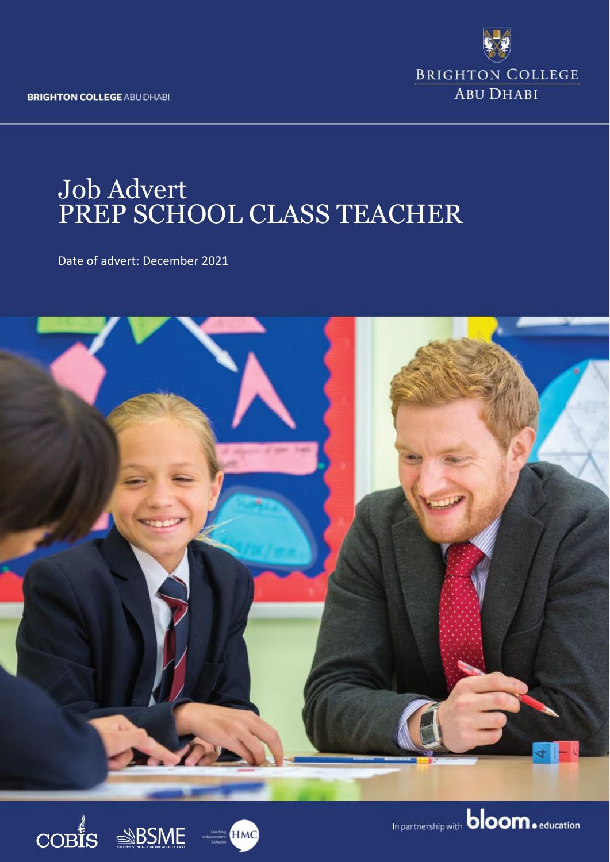**BRIGHTON COLLEGE ABU DHABI** 



# Job Advert PREP SCHOOL CLASS TEACHER

Date of advert: December 2021







In partnership with **bloom.** education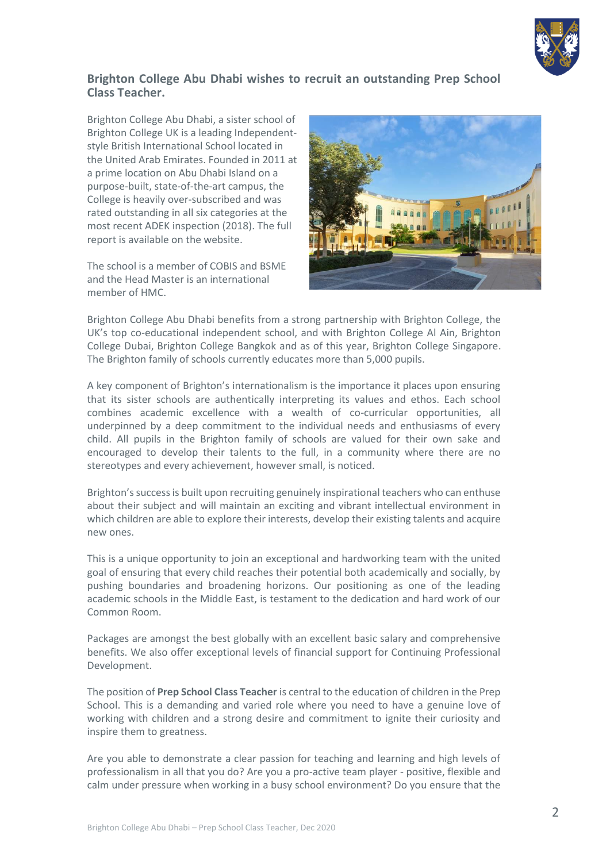

### **Brighton College Abu Dhabi wishes to recruit an outstanding Prep School Class Teacher.**

Brighton College Abu Dhabi, a sister school of Brighton College UK is a leading Independentstyle British International School located in the United Arab Emirates. Founded in 2011 at a prime location on Abu Dhabi Island on a purpose-built, state-of-the-art campus, the College is heavily over-subscribed and was rated outstanding in all six categories at the most recent ADEK inspection (2018). The full report is available on the website.

The school is a member of COBIS and BSME and the Head Master is an international member of HMC.



Brighton College Abu Dhabi benefits from a strong partnership with Brighton College, the UK's top co-educational independent school, and with Brighton College Al Ain, Brighton College Dubai, Brighton College Bangkok and as of this year, Brighton College Singapore. The Brighton family of schools currently educates more than 5,000 pupils.

A key component of Brighton's internationalism is the importance it places upon ensuring that its sister schools are authentically interpreting its values and ethos. Each school combines academic excellence with a wealth of co-curricular opportunities, all underpinned by a deep commitment to the individual needs and enthusiasms of every child. All pupils in the Brighton family of schools are valued for their own sake and encouraged to develop their talents to the full, in a community where there are no stereotypes and every achievement, however small, is noticed.

Brighton's success is built upon recruiting genuinely inspirational teachers who can enthuse about their subject and will maintain an exciting and vibrant intellectual environment in which children are able to explore their interests, develop their existing talents and acquire new ones.

This is a unique opportunity to join an exceptional and hardworking team with the united goal of ensuring that every child reaches their potential both academically and socially, by pushing boundaries and broadening horizons. Our positioning as one of the leading academic schools in the Middle East, is testament to the dedication and hard work of our Common Room.

Packages are amongst the best globally with an excellent basic salary and comprehensive benefits. We also offer exceptional levels of financial support for Continuing Professional Development.

The position of **Prep School Class Teacher** is central to the education of children in the Prep School. This is a demanding and varied role where you need to have a genuine love of working with children and a strong desire and commitment to ignite their curiosity and inspire them to greatness.

Are you able to demonstrate a clear passion for teaching and learning and high levels of professionalism in all that you do? Are you a pro-active team player - positive, flexible and calm under pressure when working in a busy school environment? Do you ensure that the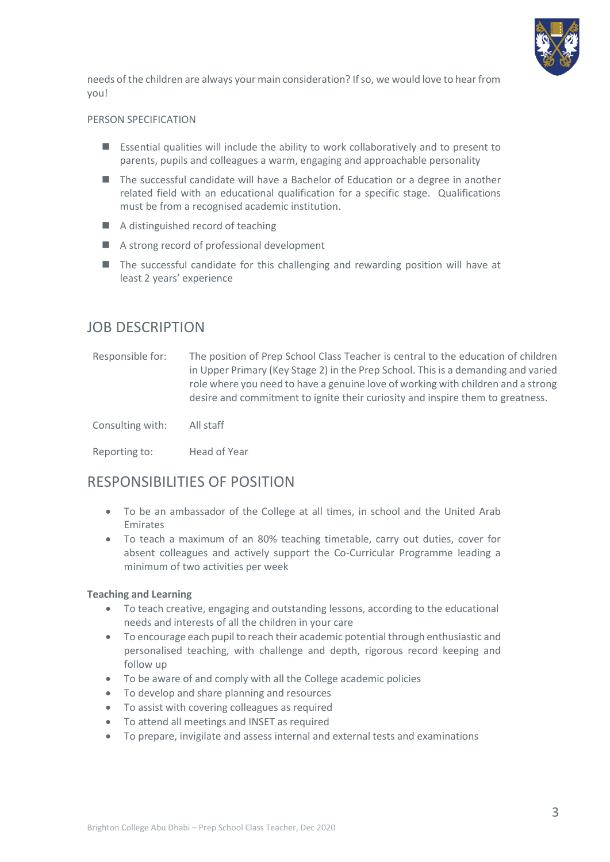

needs of the children are always your main consideration? If so, we would love to hear from you!

#### PERSON SPECIFICATION

- Essential qualities will include the ability to work collaboratively and to present to parents, pupils and colleagues a warm, engaging and approachable personality
- The successful candidate will have a Bachelor of Education or a degree in another related field with an educational qualification for a specific stage. Qualifications must be from a recognised academic institution.
- A distinguished record of teaching
- A strong record of professional development
- The successful candidate for this challenging and rewarding position will have at least 2 years' experience

## JOB DESCRIPTION

Responsible for: The position of Prep School Class Teacher is central to the education of children in Upper Primary (Key Stage 2) in the Prep School. This is a demanding and varied role where you need to have a genuine love of working with children and a strong desire and commitment to ignite their curiosity and inspire them to greatness.

Consulting with: All staff

Reporting to: Head of Year

## RESPONSIBILITIES OF POSITION

- To be an ambassador of the College at all times, in school and the United Arab Emirates
- To teach a maximum of an 80% teaching timetable, carry out duties, cover for absent colleagues and actively support the Co-Curricular Programme leading a minimum of two activities per week

#### **Teaching and Learning**

- To teach creative, engaging and outstanding lessons, according to the educational needs and interests of all the children in your care
- To encourage each pupil to reach their academic potential through enthusiastic and personalised teaching, with challenge and depth, rigorous record keeping and follow up
- To be aware of and comply with all the College academic policies
- To develop and share planning and resources
- To assist with covering colleagues as required
- To attend all meetings and INSET as required
- To prepare, invigilate and assess internal and external tests and examinations